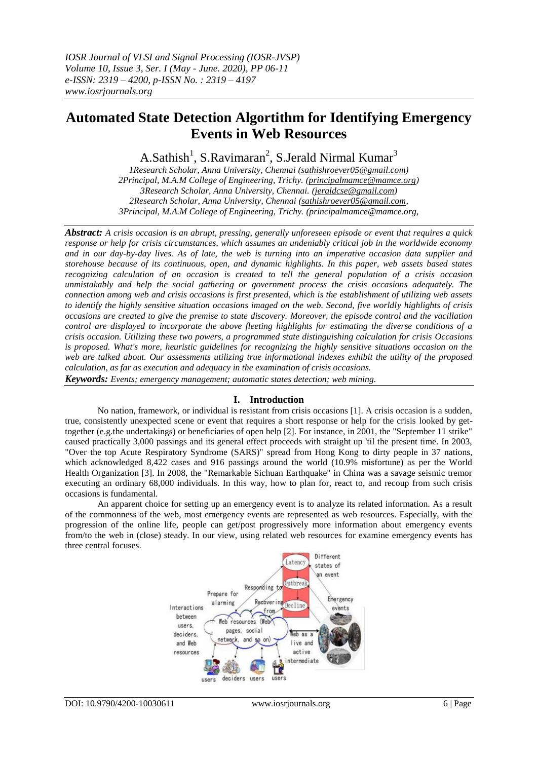# **Automated State Detection Algortithm for Identifying Emergency Events in Web Resources**

A.Sathish<sup>1</sup>, S.Ravimaran<sup>2</sup>, S.Jerald Nirmal Kumar<sup>3</sup>

*1Research Scholar, Anna University, Chennai [\(sathishroever05@gmail.com\)](mailto:sathishroever05@gmail.com) 2Principal, M.A.M College of Engineering, Trichy. [\(principalmamce@mamce.org\)](mailto:principalmamce@mamce.org) 3Research Scholar, Anna University, Chennai. [\(jeraldcse@gmail.com\)](mailto:jeraldcse@gmail.com) 2Research Scholar, Anna University, Chennai [\(sathishroever05@gmail.com,](mailto:sathishroever05@gmail.com) 3Principal, M.A.M College of Engineering, Trichy. (principalmamce@mamce.org,*

*Abstract: A crisis occasion is an abrupt, pressing, generally unforeseen episode or event that requires a quick response or help for crisis circumstances, which assumes an undeniably critical job in the worldwide economy and in our day-by-day lives. As of late, the web is turning into an imperative occasion data supplier and storehouse because of its continuous, open, and dynamic highlights. In this paper, web assets based states recognizing calculation of an occasion is created to tell the general population of a crisis occasion unmistakably and help the social gathering or government process the crisis occasions adequately. The connection among web and crisis occasions is first presented, which is the establishment of utilizing web assets to identify the highly sensitive situation occasions imaged on the web. Second, five worldly highlights of crisis occasions are created to give the premise to state discovery. Moreover, the episode control and the vacillation control are displayed to incorporate the above fleeting highlights for estimating the diverse conditions of a crisis occasion. Utilizing these two powers, a programmed state distinguishing calculation for crisis Occasions is proposed. What's more, heuristic guidelines for recognizing the highly sensitive situations occasion on the web are talked about. Our assessments utilizing true informational indexes exhibit the utility of the proposed calculation, as far as execution and adequacy in the examination of crisis occasions.*

*Keywords: Events; emergency management; automatic states detection; web mining.*

# **I. Introduction**

No nation, framework, or individual is resistant from crisis occasions [1]. A crisis occasion is a sudden, true, consistently unexpected scene or event that requires a short response or help for the crisis looked by gettogether (e.g.the undertakings) or beneficiaries of open help [2]. For instance, in 2001, the "September 11 strike" caused practically 3,000 passings and its general effect proceeds with straight up 'til the present time. In 2003, "Over the top Acute Respiratory Syndrome (SARS)" spread from Hong Kong to dirty people in 37 nations, which acknowledged 8,422 cases and 916 passings around the world (10.9% misfortune) as per the World Health Organization [3]. In 2008, the "Remarkable Sichuan Earthquake" in China was a savage seismic tremor executing an ordinary 68,000 individuals. In this way, how to plan for, react to, and recoup from such crisis occasions is fundamental.

An apparent choice for setting up an emergency event is to analyze its related information. As a result of the commonness of the web, most emergency events are represented as web resources. Especially, with the progression of the online life, people can get/post progressively more information about emergency events from/to the web in (close) steady. In our view, using related web resources for examine emergency events has three central focuses.

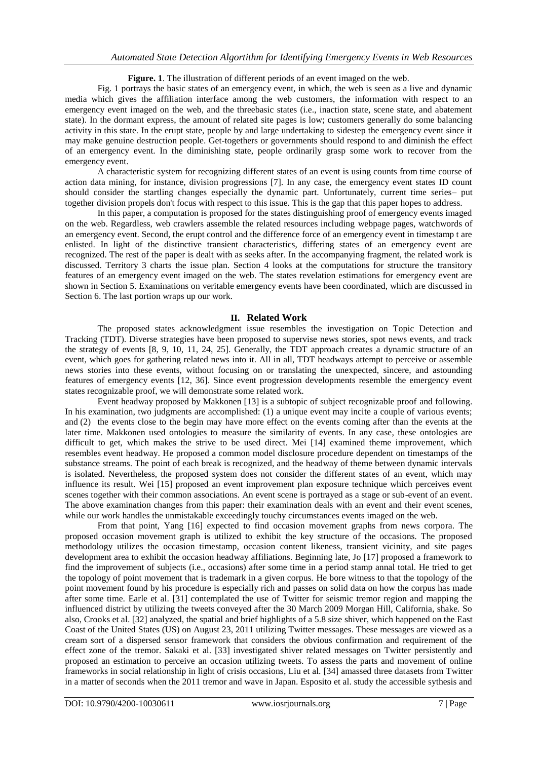**Figure. 1**. The illustration of different periods of an event imaged on the web.

Fig. 1 portrays the basic states of an emergency event, in which, the web is seen as a live and dynamic media which gives the affiliation interface among the web customers, the information with respect to an emergency event imaged on the web, and the threebasic states (i.e., inaction state, scene state, and abatement state). In the dormant express, the amount of related site pages is low; customers generally do some balancing activity in this state. In the erupt state, people by and large undertaking to sidestep the emergency event since it may make genuine destruction people. Get-togethers or governments should respond to and diminish the effect of an emergency event. In the diminishing state, people ordinarily grasp some work to recover from the emergency event.

A characteristic system for recognizing different states of an event is using counts from time course of action data mining, for instance, division progressions [7]. In any case, the emergency event states ID count should consider the startling changes especially the dynamic part. Unfortunately, current time series– put together division propels don't focus with respect to this issue. This is the gap that this paper hopes to address.

In this paper, a computation is proposed for the states distinguishing proof of emergency events imaged on the web. Regardless, web crawlers assemble the related resources including webpage pages, watchwords of an emergency event. Second, the erupt control and the difference force of an emergency event in timestamp t are enlisted. In light of the distinctive transient characteristics, differing states of an emergency event are recognized. The rest of the paper is dealt with as seeks after. In the accompanying fragment, the related work is discussed. Territory 3 charts the issue plan. Section 4 looks at the computations for structure the transitory features of an emergency event imaged on the web. The states revelation estimations for emergency event are shown in Section 5. Examinations on veritable emergency events have been coordinated, which are discussed in Section 6. The last portion wraps up our work.

# **II. Related Work**

The proposed states acknowledgment issue resembles the investigation on Topic Detection and Tracking (TDT). Diverse strategies have been proposed to supervise news stories, spot news events, and track the strategy of events [8, 9, 10, 11, 24, 25]. Generally, the TDT approach creates a dynamic structure of an event, which goes for gathering related news into it. All in all, TDT headways attempt to perceive or assemble news stories into these events, without focusing on or translating the unexpected, sincere, and astounding features of emergency events [12, 36]. Since event progression developments resemble the emergency event states recognizable proof, we will demonstrate some related work.

Event headway proposed by Makkonen [13] is a subtopic of subject recognizable proof and following. In his examination, two judgments are accomplished: (1) a unique event may incite a couple of various events; and (2) the events close to the begin may have more effect on the events coming after than the events at the later time. Makkonen used ontologies to measure the similarity of events. In any case, these ontologies are difficult to get, which makes the strive to be used direct. Mei [14] examined theme improvement, which resembles event headway. He proposed a common model disclosure procedure dependent on timestamps of the substance streams. The point of each break is recognized, and the headway of theme between dynamic intervals is isolated. Nevertheless, the proposed system does not consider the different states of an event, which may influence its result. Wei [15] proposed an event improvement plan exposure technique which perceives event scenes together with their common associations. An event scene is portrayed as a stage or sub-event of an event. The above examination changes from this paper: their examination deals with an event and their event scenes, while our work handles the unmistakable exceedingly touchy circumstances events imaged on the web.

From that point, Yang [16] expected to find occasion movement graphs from news corpora. The proposed occasion movement graph is utilized to exhibit the key structure of the occasions. The proposed methodology utilizes the occasion timestamp, occasion content likeness, transient vicinity, and site pages development area to exhibit the occasion headway affiliations. Beginning late, Jo [17] proposed a framework to find the improvement of subjects (i.e., occasions) after some time in a period stamp annal total. He tried to get the topology of point movement that is trademark in a given corpus. He bore witness to that the topology of the point movement found by his procedure is especially rich and passes on solid data on how the corpus has made after some time. Earle et al. [31] contemplated the use of Twitter for seismic tremor region and mapping the influenced district by utilizing the tweets conveyed after the 30 March 2009 Morgan Hill, California, shake. So also, Crooks et al. [32] analyzed, the spatial and brief highlights of a 5.8 size shiver, which happened on the East Coast of the United States (US) on August 23, 2011 utilizing Twitter messages. These messages are viewed as a cream sort of a dispersed sensor framework that considers the obvious confirmation and requirement of the effect zone of the tremor. Sakaki et al. [33] investigated shiver related messages on Twitter persistently and proposed an estimation to perceive an occasion utilizing tweets. To assess the parts and movement of online frameworks in social relationship in light of crisis occasions, Liu et al. [34] amassed three datasets from Twitter in a matter of seconds when the 2011 tremor and wave in Japan. Esposito et al. study the accessible sythesis and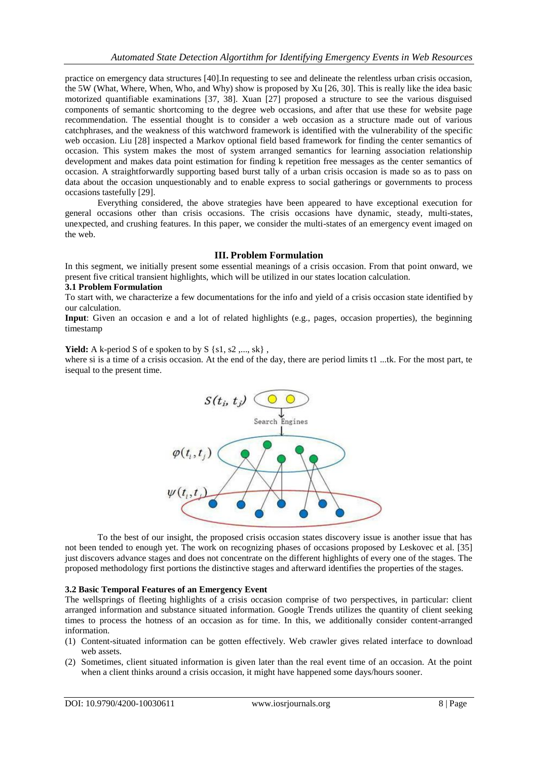practice on emergency data structures [40].In requesting to see and delineate the relentless urban crisis occasion, the 5W (What, Where, When, Who, and Why) show is proposed by Xu [26, 30]. This is really like the idea basic motorized quantifiable examinations [37, 38]. Xuan [27] proposed a structure to see the various disguised components of semantic shortcoming to the degree web occasions, and after that use these for website page recommendation. The essential thought is to consider a web occasion as a structure made out of various catchphrases, and the weakness of this watchword framework is identified with the vulnerability of the specific web occasion. Liu [28] inspected a Markov optional field based framework for finding the center semantics of occasion. This system makes the most of system arranged semantics for learning association relationship development and makes data point estimation for finding k repetition free messages as the center semantics of occasion. A straightforwardly supporting based burst tally of a urban crisis occasion is made so as to pass on data about the occasion unquestionably and to enable express to social gatherings or governments to process occasions tastefully [29].

Everything considered, the above strategies have been appeared to have exceptional execution for general occasions other than crisis occasions. The crisis occasions have dynamic, steady, multi-states, unexpected, and crushing features. In this paper, we consider the multi-states of an emergency event imaged on the web.

# **III. Problem Formulation**

In this segment, we initially present some essential meanings of a crisis occasion. From that point onward, we present five critical transient highlights, which will be utilized in our states location calculation.

### **3.1 Problem Formulation**

To start with, we characterize a few documentations for the info and yield of a crisis occasion state identified by our calculation.

**Input**: Given an occasion e and a lot of related highlights (e.g., pages, occasion properties), the beginning timestamp

**Yield:** A k-period S of e spoken to by S  $\{s1, s2, \ldots, sk\}$ ,

where si is a time of a crisis occasion. At the end of the day, there are period limits t1 ...tk. For the most part, te isequal to the present time.



To the best of our insight, the proposed crisis occasion states discovery issue is another issue that has not been tended to enough yet. The work on recognizing phases of occasions proposed by Leskovec et al. [35] just discovers advance stages and does not concentrate on the different highlights of every one of the stages. The proposed methodology first portions the distinctive stages and afterward identifies the properties of the stages.

# **3.2 Basic Temporal Features of an Emergency Event**

The wellsprings of fleeting highlights of a crisis occasion comprise of two perspectives, in particular: client arranged information and substance situated information. Google Trends utilizes the quantity of client seeking times to process the hotness of an occasion as for time. In this, we additionally consider content-arranged information.

- (1) Content-situated information can be gotten effectively. Web crawler gives related interface to download web assets.
- (2) Sometimes, client situated information is given later than the real event time of an occasion. At the point when a client thinks around a crisis occasion, it might have happened some days/hours sooner.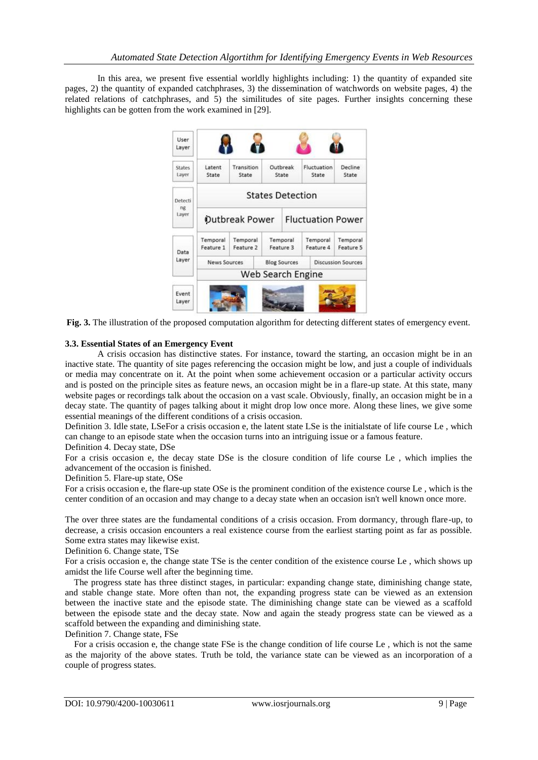In this area, we present five essential worldly highlights including: 1) the quantity of expanded site pages, 2) the quantity of expanded catchphrases, 3) the dissemination of watchwords on website pages, 4) the related relations of catchphrases, and 5) the similitudes of site pages. Further insights concerning these highlights can be gotten from the work examined in [29].



**Fig. 3.** The illustration of the proposed computation algorithm for detecting different states of emergency event.

# **3.3. Essential States of an Emergency Event**

A crisis occasion has distinctive states. For instance, toward the starting, an occasion might be in an inactive state. The quantity of site pages referencing the occasion might be low, and just a couple of individuals or media may concentrate on it. At the point when some achievement occasion or a particular activity occurs and is posted on the principle sites as feature news, an occasion might be in a flare-up state. At this state, many website pages or recordings talk about the occasion on a vast scale. Obviously, finally, an occasion might be in a decay state. The quantity of pages talking about it might drop low once more. Along these lines, we give some essential meanings of the different conditions of a crisis occasion.

Definition 3. Idle state, LSeFor a crisis occasion e, the latent state LSe is the initialstate of life course Le , which can change to an episode state when the occasion turns into an intriguing issue or a famous feature.

Definition 4. Decay state, DSe

For a crisis occasion e, the decay state DSe is the closure condition of life course Le , which implies the advancement of the occasion is finished.

Definition 5. Flare-up state, OSe

For a crisis occasion e, the flare-up state OSe is the prominent condition of the existence course Le , which is the center condition of an occasion and may change to a decay state when an occasion isn't well known once more.

The over three states are the fundamental conditions of a crisis occasion. From dormancy, through flare-up, to decrease, a crisis occasion encounters a real existence course from the earliest starting point as far as possible. Some extra states may likewise exist.

Definition 6. Change state, TSe

For a crisis occasion e, the change state TSe is the center condition of the existence course Le , which shows up amidst the life Course well after the beginning time.

 The progress state has three distinct stages, in particular: expanding change state, diminishing change state, and stable change state. More often than not, the expanding progress state can be viewed as an extension between the inactive state and the episode state. The diminishing change state can be viewed as a scaffold between the episode state and the decay state. Now and again the steady progress state can be viewed as a scaffold between the expanding and diminishing state.

Definition 7. Change state, FSe

 For a crisis occasion e, the change state FSe is the change condition of life course Le , which is not the same as the majority of the above states. Truth be told, the variance state can be viewed as an incorporation of a couple of progress states.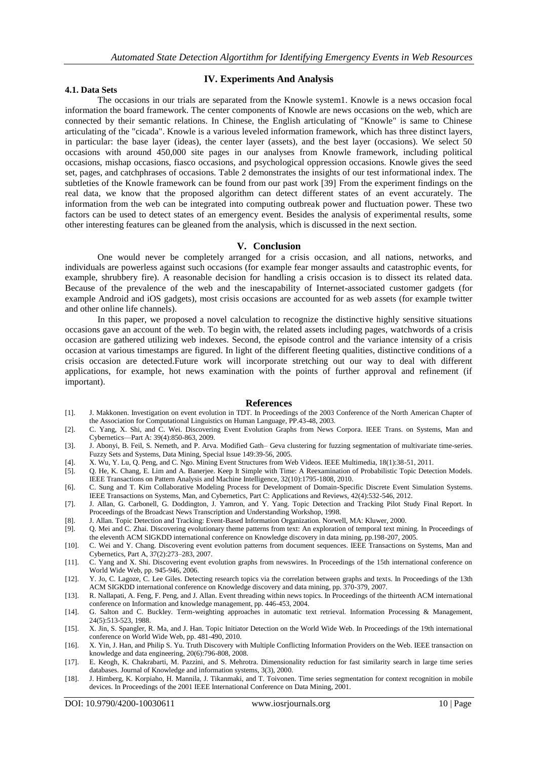### **IV. Experiments And Analysis**

# **4.1. Data Sets**

The occasions in our trials are separated from the Knowle system1. Knowle is a news occasion focal information the board framework. The center components of Knowle are news occasions on the web, which are connected by their semantic relations. In Chinese, the English articulating of "Knowle" is same to Chinese articulating of the "cicada". Knowle is a various leveled information framework, which has three distinct layers, in particular: the base layer (ideas), the center layer (assets), and the best layer (occasions). We select 50 occasions with around 450,000 site pages in our analyses from Knowle framework, including political occasions, mishap occasions, fiasco occasions, and psychological oppression occasions. Knowle gives the seed set, pages, and catchphrases of occasions. Table 2 demonstrates the insights of our test informational index. The subtleties of the Knowle framework can be found from our past work [39] From the experiment findings on the real data, we know that the proposed algorithm can detect different states of an event accurately. The information from the web can be integrated into computing outbreak power and fluctuation power. These two factors can be used to detect states of an emergency event. Besides the analysis of experimental results, some other interesting features can be gleaned from the analysis, which is discussed in the next section.

#### **V. Conclusion**

One would never be completely arranged for a crisis occasion, and all nations, networks, and individuals are powerless against such occasions (for example fear monger assaults and catastrophic events, for example, shrubbery fire). A reasonable decision for handling a crisis occasion is to dissect its related data. Because of the prevalence of the web and the inescapability of Internet-associated customer gadgets (for example Android and iOS gadgets), most crisis occasions are accounted for as web assets (for example twitter and other online life channels).

In this paper, we proposed a novel calculation to recognize the distinctive highly sensitive situations occasions gave an account of the web. To begin with, the related assets including pages, watchwords of a crisis occasion are gathered utilizing web indexes. Second, the episode control and the variance intensity of a crisis occasion at various timestamps are figured. In light of the different fleeting qualities, distinctive conditions of a crisis occasion are detected.Future work will incorporate stretching out our way to deal with different applications, for example, hot news examination with the points of further approval and refinement (if important).

#### **References**

- [1]. J. Makkonen. Investigation on event evolution in TDT. In Proceedings of the 2003 Conference of the North American Chapter of the Association for Computational Linguistics on Human Language, PP.43-48, 2003.
- [2]. C. Yang, X. Shi, and C. Wei. Discovering Event Evolution Graphs from News Corpora. IEEE Trans. on Systems, Man and Cybernetics—Part A: 39(4):850-863, 2009.
- [3]. J. Abonyi, B. Feil, S. Nemeth, and P. Arva. Modified Gath– Geva clustering for fuzzing segmentation of multivariate time-series. Fuzzy Sets and Systems, Data Mining, Special Issue 149:39-56, 2005.
- [4]. X. Wu, Y. Lu, Q. Peng, and C. Ngo. Mining Event Structures from Web Videos. IEEE Multimedia, 18(1):38-51, 2011.
- [5]. Q. He, K. Chang, E. Lim and A. Banerjee. Keep It Simple with Time: A Reexamination of Probabilistic Topic Detection Models. IEEE Transactions on Pattern Analysis and Machine Intelligence, 32(10):1795-1808, 2010.
- [6]. C. Sung and T. Kim Collaborative Modeling Process for Development of Domain-Specific Discrete Event Simulation Systems. IEEE Transactions on Systems, Man, and Cybernetics, Part C: Applications and Reviews, 42(4):532-546, 2012.
- [7]. J. Allan, G. Carbonell, G. Doddington, J. Yamron, and Y. Yang. Topic Detection and Tracking Pilot Study Final Report. In Proceedings of the Broadcast News Transcription and Understanding Workshop, 1998.
- [8]. J. Allan. Topic Detection and Tracking: Event-Based Information Organization. Norwell, MA: Kluwer, 2000.
- [9]. Q. Mei and C. Zhai. Discovering evolutionary theme patterns from text: An exploration of temporal text mining. In Proceedings of the eleventh ACM SIGKDD international conference on Knowledge discovery in data mining, pp.198-207, 2005.
- [10]. C. Wei and Y. Chang. Discovering event evolution patterns from document sequences. IEEE Transactions on Systems, Man and Cybernetics, Part A, 37(2):273–283, 2007.
- [11]. C. Yang and X. Shi. Discovering event evolution graphs from newswires. In Proceedings of the 15th international conference on World Wide Web, pp. 945-946, 2006.
- [12]. Y. Jo, C. Lagoze, C. Lee Giles. Detecting research topics via the correlation between graphs and texts. In Proceedings of the 13th ACM SIGKDD international conference on Knowledge discovery and data mining, pp. 370-379, 2007.
- [13]. R. Nallapati, A. Feng, F. Peng, and J. Allan. Event threading within news topics. In Proceedings of the thirteenth ACM international conference on Information and knowledge management, pp. 446-453, 2004.
- [14]. G. Salton and C. Buckley. Term-weighting approaches in automatic text retrieval. Information Processing & Management, 24(5):513-523, 1988.
- [15]. X. Jin, S. Spangler, R. Ma, and J. Han. Topic Initiator Detection on the World Wide Web. In Proceedings of the 19th international conference on World Wide Web, pp. 481-490, 2010.
- [16]. X. Yin, J. Han, and Philip S. Yu. Truth Discovery with Multiple Conflicting Information Providers on the Web. IEEE transaction on knowledge and data engineering, 20(6):796-808, 2008.
- [17]. E. Keogh, K. Chakrabarti, M. Pazzini, and S. Mehrotra. Dimensionality reduction for fast similarity search in large time series databases. Journal of Knowledge and information systems, 3(3), 2000.
- [18]. J. Himberg, K. Korpiaho, H. Mannila, J. Tikanmaki, and T. Toivonen. Time series segmentation for context recognition in mobile devices. In Proceedings of the 2001 IEEE International Conference on Data Mining, 2001.